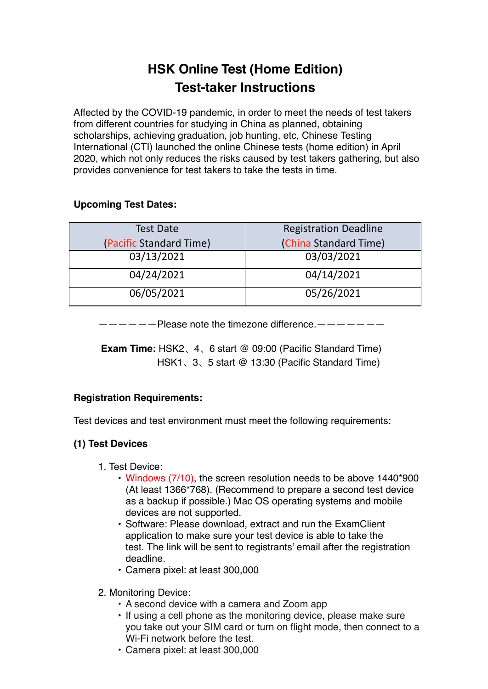# **HSK Online Test (Home Edition) Test-taker Instructions**

Affected by the COVID-19 pandemic, in order to meet the needs of test takers from different countries for studying in China as planned, obtaining scholarships, achieving graduation, job hunting, etc, Chinese Testing International (CTI) launched the online Chinese tests (home edition) in April 2020, which not only reduces the risks caused by test takers gathering, but also provides convenience for test takers to take the tests in time.

# **Upcoming Test Dates:**

| <b>Test Date</b>        | <b>Registration Deadline</b> |
|-------------------------|------------------------------|
| (Pacific Standard Time) | (China Standard Time)        |
| 03/13/2021              | 03/03/2021                   |
| 04/24/2021              | 04/14/2021                   |
| 06/05/2021              | 05/26/2021                   |

 $-$  Please note the timezone difference.  $-$ 

**Exam Time:** HSK2、4、6 start @ 09:00 (Pacific Standard Time) HSK1、3、5 start @ 13:30 (Pacific Standard Time)

# **Registration Requirements:**

Test devices and test environment must meet the following requirements:

# **(1) Test Devices**

- 1. Test Device:
	- Windows (7/10), the screen resolution needs to be above 1440\*900 (At least 1366\*768). (Recommend to prepare a second test device as a backup if possible.) Mac OS operating systems and mobile devices are not supported.
	- Software: Please download, extract and run the ExamClient application to make sure your test device is able to take the test. The link will be sent to registrants' email after the registration deadline.
	- Camera pixel: at least 300,000
- 2. Monitoring Device:
	- A second device with a camera and Zoom app
	- If using a cell phone as the monitoring device, please make sure you take out your SIM card or turn on flight mode, then connect to a Wi-Fi network before the test.
	- Camera pixel: at least 300,000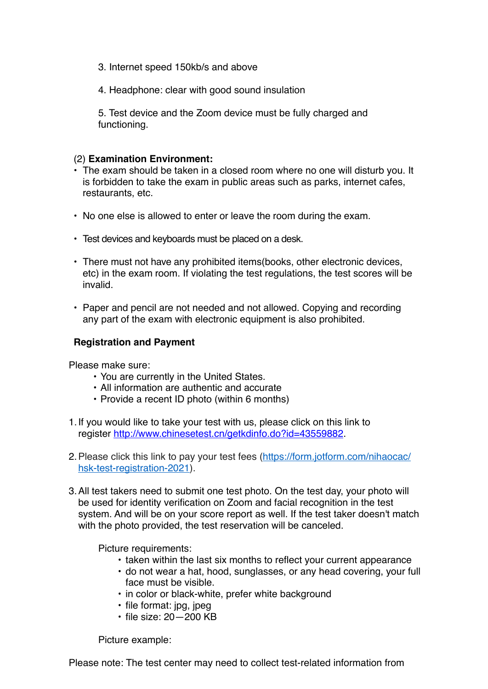- 3. Internet speed 150kb/s and above
- 4. Headphone: clear with good sound insulation

5. Test device and the Zoom device must be fully charged and functioning.

### (2) **Examination Environment:**

- The exam should be taken in a closed room where no one will disturb you. It is forbidden to take the exam in public areas such as parks, internet cafes, restaurants, etc.
- No one else is allowed to enter or leave the room during the exam.
- Test devices and keyboards must be placed on a desk.
- There must not have any prohibited items(books, other electronic devices, etc) in the exam room. If violating the test regulations, the test scores will be invalid.
- Paper and pencil are not needed and not allowed. Copying and recording any part of the exam with electronic equipment is also prohibited.

#### **Registration and Payment**

Please make sure:

- You are currently in the United States.
- All information are authentic and accurate
- Provide a recent ID photo (within 6 months)
- 1.If you would like to take your test with us, please click on this link to register <http://www.chinesetest.cn/getkdinfo.do?id=43559882>.
- 2. Please click this link to pay your test fees [\(https://form.jotform.com/nihaocac/](https://form.jotform.com/nihaocac/hsk-test-registration-2021) [hsk-test-registration-2021\)](https://form.jotform.com/nihaocac/hsk-test-registration-2021).
- 3.All test takers need to submit one test photo. On the test day, your photo will be used for identity verification on Zoom and facial recognition in the test system. And will be on your score report as well. If the test taker doesn't match with the photo provided, the test reservation will be canceled.

Picture requirements:

- taken within the last six months to reflect your current appearance
- do not wear a hat, hood, sunglasses, or any head covering, your full face must be visible.
- in color or black-white, prefer white background
- file format: jpg, jpeg
- file size: 20—200 KB

Picture example: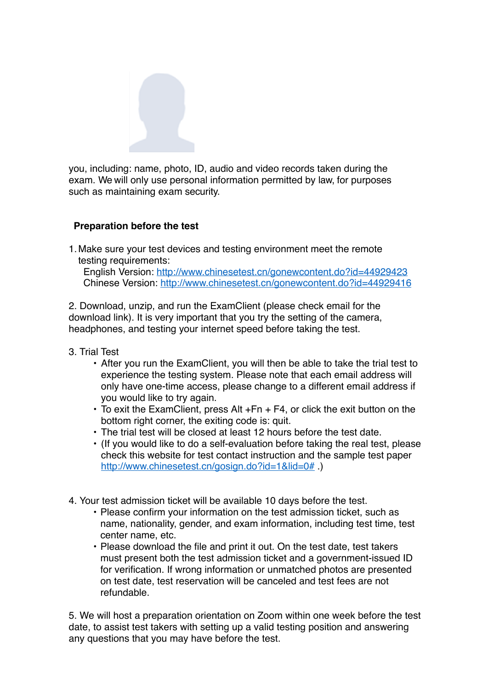

you, including: name, photo, ID, audio and video records taken during the exam. We will only use personal information permitted by law, for purposes such as maintaining exam security.

# **Preparation before the test**

1.Make sure your test devices and testing environment meet the remote testing requirements:

English Version:<http://www.chinesetest.cn/gonewcontent.do?id=44929423> Chinese Version:<http://www.chinesetest.cn/gonewcontent.do?id=44929416>

2. Download, unzip, and run the ExamClient (please check email for the download link). It is very important that you try the setting of the camera, headphones, and testing your internet speed before taking the test.

- 3. Trial Test
	- After you run the ExamClient, you will then be able to take the trial test to experience the testing system. Please note that each email address will only have one-time access, please change to a different email address if you would like to try again.
	- To exit the ExamClient, press Alt +Fn + F4, or click the exit button on the bottom right corner, the exiting code is: quit.
	- The trial test will be closed at least 12 hours before the test date.
	- (If you would like to do a self-evaluation before taking the real test, please check this website for test contact instruction and the sample test paper <http://www.chinesetest.cn/gosign.do?id=1&lid=0#> )
- 4. Your test admission ticket will be available 10 days before the test.
	- Please confirm your information on the test admission ticket, such as name, nationality, gender, and exam information, including test time, test center name, etc.
	- Please download the file and print it out. On the test date, test takers must present both the test admission ticket and a government-issued ID for verification. If wrong information or unmatched photos are presented on test date, test reservation will be canceled and test fees are not refundable.

5. We will host a preparation orientation on Zoom within one week before the test date, to assist test takers with setting up a valid testing position and answering any questions that you may have before the test.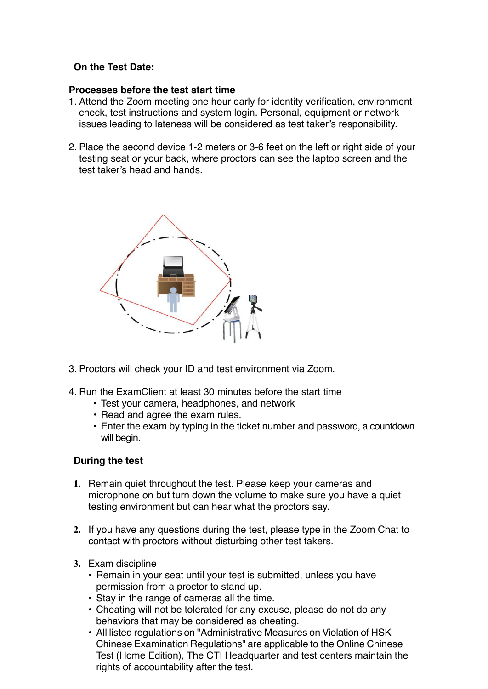# **On the Test Date:**

## **Processes before the test start time**

- 1. Attend the Zoom meeting one hour early for identity verification, environment check, test instructions and system login. Personal, equipment or network issues leading to lateness will be considered as test taker's responsibility.
- 2. Place the second device 1-2 meters or 3-6 feet on the left or right side of your testing seat or your back, where proctors can see the laptop screen and the test taker's head and hands.



- 3. Proctors will check your ID and test environment via Zoom.
- 4. Run the ExamClient at least 30 minutes before the start time
	- Test your camera, headphones, and network
	- Read and agree the exam rules.
	- Enter the exam by typing in the ticket number and password, a countdown will begin.

# **During the test**

- **1.** Remain quiet throughout the test. Please keep your cameras and microphone on but turn down the volume to make sure you have a quiet testing environment but can hear what the proctors say.
- **2.** If you have any questions during the test, please type in the Zoom Chat to contact with proctors without disturbing other test takers.
- **3.** Exam discipline
	- Remain in your seat until your test is submitted, unless you have permission from a proctor to stand up.
	- Stay in the range of cameras all the time.
	- Cheating will not be tolerated for any excuse, please do not do any behaviors that may be considered as cheating.
	- All listed regulations on "Administrative Measures on Violation of HSK Chinese Examination Regulations" are applicable to the Online Chinese Test (Home Edition), The CTI Headquarter and test centers maintain the rights of accountability after the test.